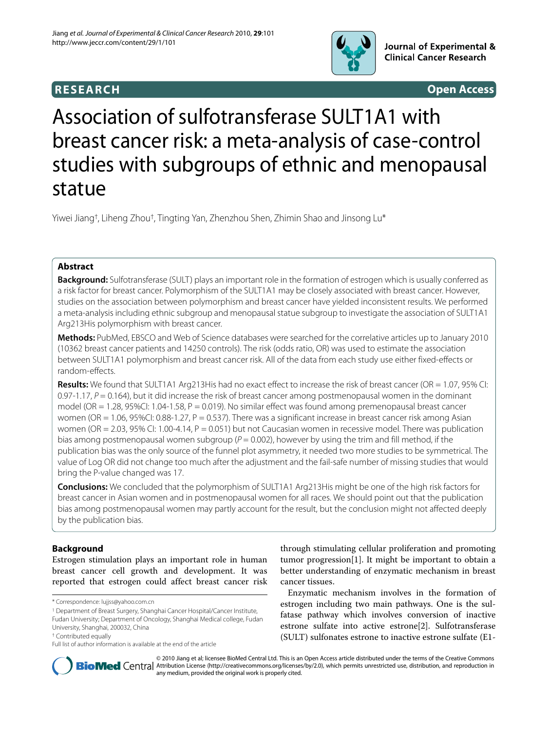## **RESEARCH Open Access**



# Association of sulfotransferase SULT1A1 with breast cancer risk: a meta-analysis of case-control studies with subgroups of ethnic and menopausal statue

Yiwei Jiang†, Liheng Zhou†, Tingting Yan, Zhenzhou Shen, Zhimin Shao and Jinsong Lu\*

## **Abstract**

**Background:** Sulfotransferase (SULT) plays an important role in the formation of estrogen which is usually conferred as a risk factor for breast cancer. Polymorphism of the SULT1A1 may be closely associated with breast cancer. However, studies on the association between polymorphism and breast cancer have yielded inconsistent results. We performed a meta-analysis including ethnic subgroup and menopausal statue subgroup to investigate the association of SULT1A1 Arg213His polymorphism with breast cancer.

**Methods:** PubMed, EBSCO and Web of Science databases were searched for the correlative articles up to January 2010 (10362 breast cancer patients and 14250 controls). The risk (odds ratio, OR) was used to estimate the association between SULT1A1 polymorphism and breast cancer risk. All of the data from each study use either fixed-effects or random-effects.

**Results:** We found that SULT1A1 Arg213His had no exact effect to increase the risk of breast cancer (OR = 1.07, 95% CI: 0.97-1.17,  $P = 0.164$ ), but it did increase the risk of breast cancer among postmenopausal women in the dominant model (OR  $= 1.28$ , 95%CI: 1.04-1.58, P = 0.019). No similar effect was found among premenopausal breast cancer women (OR = 1.06, 95%CI: 0.88-1.27, P = 0.537). There was a significant increase in breast cancer risk among Asian women (OR = 2.03, 95% CI: 1.00-4.14, P = 0.051) but not Caucasian women in recessive model. There was publication bias among postmenopausal women subgroup ( $P = 0.002$ ), however by using the trim and fill method, if the publication bias was the only source of the funnel plot asymmetry, it needed two more studies to be symmetrical. The value of Log OR did not change too much after the adjustment and the fail-safe number of missing studies that would bring the P-value changed was 17.

**Conclusions:** We concluded that the polymorphism of SULT1A1 Arg213His might be one of the high risk factors for breast cancer in Asian women and in postmenopausal women for all races. We should point out that the publication bias among postmenopausal women may partly account for the result, but the conclusion might not affected deeply by the publication bias.

## **Background**

Estrogen stimulation plays an important role in human breast cancer cell growth and development. It was reported that estrogen could affect breast cancer risk

University, Shanghai, 200032, China

through stimulating cellular proliferation and promoting tumor progression[[1\]](#page-8-0). It might be important to obtain a better understanding of enzymatic mechanism in breast cancer tissues.

Enzymatic mechanism involves in the formation of estrogen including two main pathways. One is the sulfatase pathway which involves conversion of inactive estrone sulfate into active estrone[\[2](#page-8-1)]. Sulfotransferase (SULT) sulfonates estrone to inactive estrone sulfate (E1-



© 2010 Jiang et al; licensee BioMed Central Ltd. This is an Open Access article distributed under the terms of the Creative Commons **BioMed** Central Attribution License (http://creativecommons.org/licenses/by/2.0), which permits unrestricted use, distribution, and reproduction in any medium, provided the original work is properly cited.

<sup>\*</sup> Correspondence: lujjss@yahoo.com.cn

<sup>1</sup> Department of Breast Surgery, Shanghai Cancer Hospital/Cancer Institute,

Fudan University; Department of Oncology, Shanghai Medical college, Fudan

<sup>†</sup> Contributed equally

Full list of author information is available at the end of the article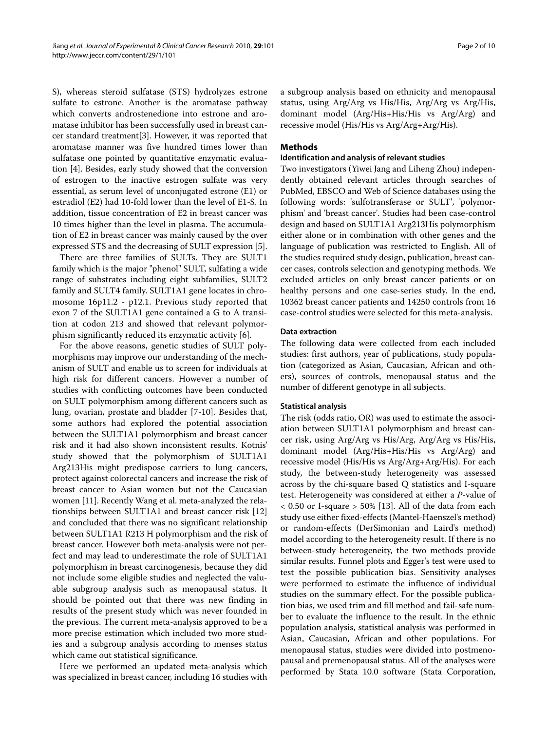S), whereas steroid sulfatase (STS) hydrolyzes estrone sulfate to estrone. Another is the aromatase pathway which converts androstenedione into estrone and aromatase inhibitor has been successfully used in breast cancer standard treatment[\[3](#page-8-2)]. However, it was reported that aromatase manner was five hundred times lower than sulfatase one pointed by quantitative enzymatic evaluation [\[4](#page-8-3)]. Besides, early study showed that the conversion of estrogen to the inactive estrogen sulfate was very essential, as serum level of unconjugated estrone (E1) or estradiol (E2) had 10-fold lower than the level of E1-S. In addition, tissue concentration of E2 in breast cancer was

10 times higher than the level in plasma. The accumulation of E2 in breast cancer was mainly caused by the over expressed STS and the decreasing of SULT expression [\[5](#page-8-4)]. There are three families of SULTs. They are SULT1

family which is the major "phenol" SULT, sulfating a wide range of substrates including eight subfamilies, SULT2 family and SULT4 family. SULT1A1 gene locates in chromosome 16p11.2 - p12.1. Previous study reported that exon 7 of the SULT1A1 gene contained a G to A transition at codon 213 and showed that relevant polymorphism significantly reduced its enzymatic activity [\[6](#page-8-5)].

For the above reasons, genetic studies of SULT polymorphisms may improve our understanding of the mechanism of SULT and enable us to screen for individuals at high risk for different cancers. However a number of studies with conflicting outcomes have been conducted on SULT polymorphism among different cancers such as lung, ovarian, prostate and bladder [\[7](#page-8-6)-[10\]](#page-9-0). Besides that, some authors had explored the potential association between the SULT1A1 polymorphism and breast cancer risk and it had also shown inconsistent results. Kotnis' study showed that the polymorphism of SULT1A1 Arg213His might predispose carriers to lung cancers, protect against colorectal cancers and increase the risk of breast cancer to Asian women but not the Caucasian women [\[11](#page-9-1)]. Recently Wang et al. meta-analyzed the relationships between SULT1A1 and breast cancer risk [[12](#page-9-2)] and concluded that there was no significant relationship between SULT1A1 R213 H polymorphism and the risk of breast cancer. However both meta-analysis were not perfect and may lead to underestimate the role of SULT1A1 polymorphism in breast carcinogenesis, because they did not include some eligible studies and neglected the valuable subgroup analysis such as menopausal status. It should be pointed out that there was new finding in results of the present study which was never founded in the previous. The current meta-analysis approved to be a more precise estimation which included two more studies and a subgroup analysis according to menses status which came out statistical significance.

Here we performed an updated meta-analysis which was specialized in breast cancer, including 16 studies with

a subgroup analysis based on ethnicity and menopausal status, using Arg/Arg vs His/His, Arg/Arg vs Arg/His, dominant model (Arg/His+His/His vs Arg/Arg) and recessive model (His/His vs Arg/Arg+Arg/His).

## **Methods**

## **Identification and analysis of relevant studies**

Two investigators (Yiwei Jang and Liheng Zhou) independently obtained relevant articles through searches of PubMed, EBSCO and Web of Science databases using the following words: 'sulfotransferase or SULT', 'polymorphism' and 'breast cancer'. Studies had been case-control design and based on SULT1A1 Arg213His polymorphism either alone or in combination with other genes and the language of publication was restricted to English. All of the studies required study design, publication, breast cancer cases, controls selection and genotyping methods. We excluded articles on only breast cancer patients or on healthy persons and one case-series study. In the end, 10362 breast cancer patients and 14250 controls from 16 case-control studies were selected for this meta-analysis.

## **Data extraction**

The following data were collected from each included studies: first authors, year of publications, study population (categorized as Asian, Caucasian, African and others), sources of controls, menopausal status and the number of different genotype in all subjects.

## **Statistical analysis**

The risk (odds ratio, OR) was used to estimate the association between SULT1A1 polymorphism and breast cancer risk, using Arg/Arg vs His/Arg, Arg/Arg vs His/His, dominant model (Arg/His+His/His vs Arg/Arg) and recessive model (His/His vs Arg/Arg+Arg/His). For each study, the between-study heterogeneity was assessed across by the chi-square based Q statistics and I-square test. Heterogeneity was considered at either a *P*-value of  $< 0.50$  or I-square  $> 50\%$  [\[13](#page-9-3)]. All of the data from each study use either fixed-effects (Mantel-Haenszel's method) or random-effects (DerSimonian and Laird's method) model according to the heterogeneity result. If there is no between-study heterogeneity, the two methods provide similar results. Funnel plots and Egger's test were used to test the possible publication bias. Sensitivity analyses were performed to estimate the influence of individual studies on the summary effect. For the possible publication bias, we used trim and fill method and fail-safe number to evaluate the influence to the result. In the ethnic population analysis, statistical analysis was performed in Asian, Caucasian, African and other populations. For menopausal status, studies were divided into postmenopausal and premenopausal status. All of the analyses were performed by Stata 10.0 software (Stata Corporation,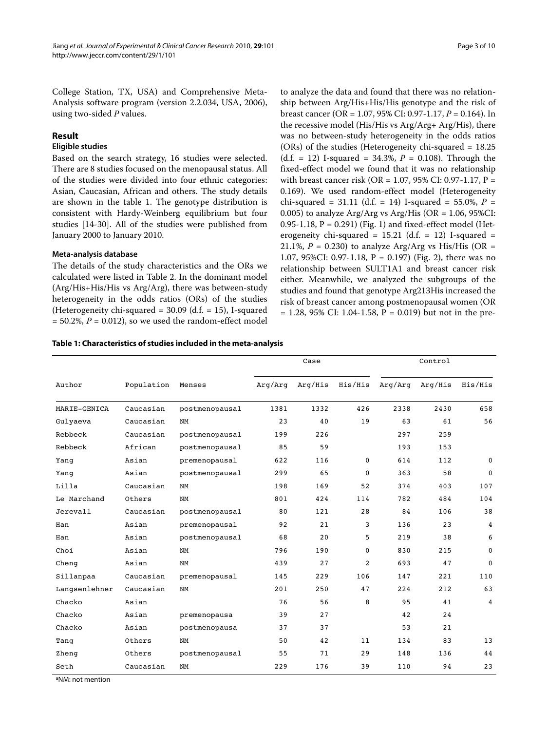College Station, TX, USA) and Comprehensive Meta-Analysis software program (version 2.2.034, USA, 2006), using two-sided *P* values.

## **Result**

## **Eligible studies**

Based on the search strategy, 16 studies were selected. There are 8 studies focused on the menopausal status. All of the studies were divided into four ethnic categories: Asian, Caucasian, African and others. The study details are shown in the table 1. The genotype distribution is consistent with Hardy-Weinberg equilibrium but four studies [\[14](#page-9-4)-[30\]](#page-9-5). All of the studies were published from January 2000 to January 2010.

### **Meta-analysis database**

The details of the study characteristics and the ORs we calculated were listed in Table [2](#page-3-0). In the dominant model (Arg/His+His/His vs Arg/Arg), there was between-study heterogeneity in the odds ratios (ORs) of the studies (Heterogeneity chi-squared = 30.09 (d.f. = 15), I-squared  $= 50.2\%$ ,  $P = 0.012$ ), so we used the random-effect model

to analyze the data and found that there was no relationship between Arg/His+His/His genotype and the risk of breast cancer (OR = 1.07, 95% CI: 0.97-1.17, *P* = 0.164). In the recessive model (His/His vs Arg/Arg+ Arg/His), there was no between-study heterogeneity in the odds ratios (ORs) of the studies (Heterogeneity chi-squared = 18.25  $(d.f. = 12)$  I-squared = 34.3%,  $P = 0.108$ ). Through the fixed-effect model we found that it was no relationship with breast cancer risk (OR = 1.07, 95% CI: 0.97-1.17, P = 0.169). We used random-effect model (Heterogeneity chi-squared = 31.11 (d.f. = 14) I-squared = 55.0%, *P* = 0.005) to analyze Arg/Arg vs Arg/His ( $OR = 1.06$ ,  $95\%CI$ : 0.95-1.18,  $P = 0.291$ ) (Fig. [1](#page-4-0)) and fixed-effect model (Heterogeneity chi-squared =  $15.21$  (d.f. =  $12$ ) I-squared = 21.1%,  $P = 0.230$ ) to analyze Arg/Arg vs His/His (OR = 1.07, 95%CI: 0.97-1.18, P = 0.197) (Fig. [2\)](#page-5-0), there was no relationship between SULT1A1 and breast cancer risk either. Meanwhile, we analyzed the subgroups of the studies and found that genotype Arg213His increased the risk of breast cancer among postmenopausal women (OR  $= 1.28, 95\%$  CI: 1.04-1.58, P = 0.019) but not in the pre-

## **Table 1: Characteristics of studies included in the meta-analysis**

|               |            |                |         | Case    |             |         | Control |                |
|---------------|------------|----------------|---------|---------|-------------|---------|---------|----------------|
| Author        | Population | Menses         | Arg/Arg | Arg/His | His/His     | Arg/Arg | Arg/His | His/His        |
| MARIE-GENICA  | Caucasian  | postmenopausal | 1381    | 1332    | 426         | 2338    | 2430    | 658            |
| Gulyaeva      | Caucasian  | NM             | 23      | 40      | 19          | 63      | 61      | 56             |
| Rebbeck       | Caucasian  | postmenopausal | 199     | 226     |             | 297     | 259     |                |
| Rebbeck       | African    | postmenopausal | 85      | 59      |             | 193     | 153     |                |
| Yang          | Asian      | premenopausal  | 622     | 116     | 0           | 614     | 112     | $\mathbf 0$    |
| Yang          | Asian      | postmenopausal | 299     | 65      | 0           | 363     | 58      | $\mathbf 0$    |
| Lilla         | Caucasian  | NM             | 198     | 169     | 52          | 374     | 403     | 107            |
| Le Marchand   | Others     | NM             | 801     | 424     | 114         | 782     | 484     | 104            |
| Jerevall      | Caucasian  | postmenopausal | 80      | 121     | 28          | 84      | 106     | 38             |
| Han           | Asian      | premenopausal  | 92      | 21      | 3           | 136     | 23      | 4              |
| Han           | Asian      | postmenopausal | 68      | 20      | 5           | 219     | 38      | 6              |
| Choi          | Asian      | NM             | 796     | 190     | $\mathbf 0$ | 830     | 215     | $\mathbf 0$    |
| Cheng         | Asian      | <b>NM</b>      | 439     | 27      | 2           | 693     | 47      | $\mathbf 0$    |
| Sillanpaa     | Caucasian  | premenopausal  | 145     | 229     | 106         | 147     | 221     | 110            |
| Langsenlehner | Caucasian  | NM             | 201     | 250     | 47          | 224     | 212     | 63             |
| Chacko        | Asian      |                | 76      | 56      | 8           | 95      | 41      | $\overline{4}$ |
| Chacko        | Asian      | premenopausa   | 39      | 27      |             | 42      | 24      |                |
| Chacko        | Asian      | postmenopausa  | 37      | 37      |             | 53      | 21      |                |
| Tang          | Others     | <b>NM</b>      | 50      | 42      | 11          | 134     | 83      | 13             |
| Zheng         | Others     | postmenopausal | 55      | 71      | 29          | 148     | 136     | 44             |
| Seth          | Caucasian  | NM             | 229     | 176     | 39          | 110     | 94      | 23             |

aNM: not mention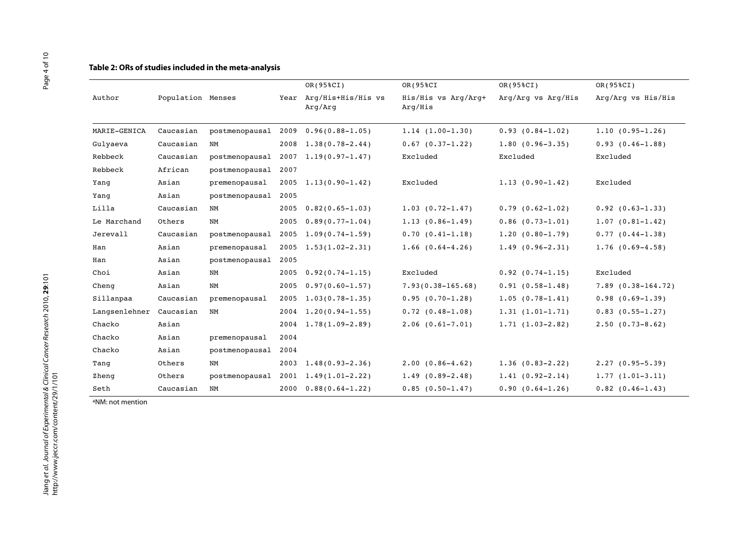## **Table 2: ORs of studies included in the meta-analysis**

|               |                   |                |      | OR (95%CI)                         | OR (95%CI                      | OR(95%CI)              | OR(95%CI)                |
|---------------|-------------------|----------------|------|------------------------------------|--------------------------------|------------------------|--------------------------|
| Author        | Population Menses |                |      | Year Arg/His+His/His vs<br>Arg/Arg | His/His vs Arg/Arg+<br>Arg/His | Arg/Arg vs Arg/His     | Arg/Arg vs His/His       |
| MARIE-GENICA  | Caucasian         | postmenopausal |      | $2009$ 0.96(0.88-1.05)             | $1.14(1.00-1.30)$              | $0.93(0.84-1.02)$      | $1.10(0.95-1.26)$        |
| Gulyaeva      | Caucasian         | NM             |      | $2008$ 1.38(0.78-2.44)             | $0.67$ $(0.37-1.22)$           | $1.80(0.96 - 3.35)$    | $0.93(0.46 - 1.88)$      |
| Rebbeck       | Caucasian         | postmenopausal |      | $2007 \quad 1.19(0.97 - 1.47)$     | Excluded                       | Excluded               | Excluded                 |
| Rebbeck       | African           | postmenopausal | 2007 |                                    |                                |                        |                          |
| Yang          | Asian             | premenopausal  |      | $2005 \quad 1.13(0.90 - 1.42)$     | Excluded                       | $1.13(0.90-1.42)$      | Excluded                 |
| Yang          | Asian             | postmenopausal | 2005 |                                    |                                |                        |                          |
| Lilla         | Caucasian         | NM             | 2005 | $0.82(0.65 - 1.03)$                | $1.03(0.72 - 1.47)$            | $0.79$ $(0.62 - 1.02)$ | $0.92$ $(0.63 - 1.33)$   |
| Le Marchand   | Others            | NM             | 2005 | $0.89(0.77 - 1.04)$                | $1.13(0.86 - 1.49)$            | $0.86$ $(0.73-1.01)$   | $1.07(0.81-1.42)$        |
| Jerevall      | Caucasian         | postmenopausal | 2005 | $1.09(0.74 - 1.59)$                | $0.70(0.41-1.18)$              | $1.20(0.80-1.79)$      | $0.77(0.44-1.38)$        |
| Han           | Asian             | premenopausal  | 2005 | $1.53(1.02 - 2.31)$                | $1.66$ $(0.64-4.26)$           | $1.49(0.96-2.31)$      | $1.76(0.69 - 4.58)$      |
| Han           | Asian             | postmenopausal | 2005 |                                    |                                |                        |                          |
| Choi          | Asian             | NM             |      | $2005$ 0.92(0.74-1.15)             | Excluded                       | $0.92$ $(0.74-1.15)$   | Excluded                 |
| Cheng         | Asian             | NM             | 2005 | $0.97(0.60 - 1.57)$                | $7.93(0.38 - 165.68)$          | $0.91(0.58 - 1.48)$    | $7.89$ $(0.38 - 164.72)$ |
| Sillanpaa     | Caucasian         | premenopausal  | 2005 | $1.03(0.78 - 1.35)$                | $0.95(0.70-1.28)$              | $1.05(0.78-1.41)$      | $0.98(0.69-1.39)$        |
| Langsenlehner | Caucasian         | NM             |      | $2004$ 1.20(0.94-1.55)             | $0.72$ $(0.48-1.08)$           | $1.31(1.01-1.71)$      | $0.83$ $(0.55-1.27)$     |
| Chacko        | Asian             |                |      | $2004$ 1.78(1.09-2.89)             | $2.06(0.61 - 7.01)$            | $1.71(1.03-2.82)$      | $2.50(0.73 - 8.62)$      |
| Chacko        | Asian             | premenopausal  | 2004 |                                    |                                |                        |                          |
| Chacko        | Asian             | postmenopausal | 2004 |                                    |                                |                        |                          |
| Tang          | Others            | NM             |      | $2003 \quad 1.48(0.93 - 2.36)$     | $2.00(0.86 - 4.62)$            | $1.36(0.83 - 2.22)$    | $2.27(0.95 - 5.39)$      |
| Zheng         | Others            | postmenopausal |      | $2001 \quad 1.49(1.01 - 2.22)$     | $1.49(0.89-2.48)$              | $1.41(0.92 - 2.14)$    | $1.77(1.01-3.11)$        |
| Seth          | Caucasian         | NM             | 2000 | $0.88(0.64 - 1.22)$                | $0.85$ $(0.50-1.47)$           | $0.90(0.64 - 1.26)$    | $0.82$ $(0.46 - 1.43)$   |

<span id="page-3-0"></span>aNM: not mention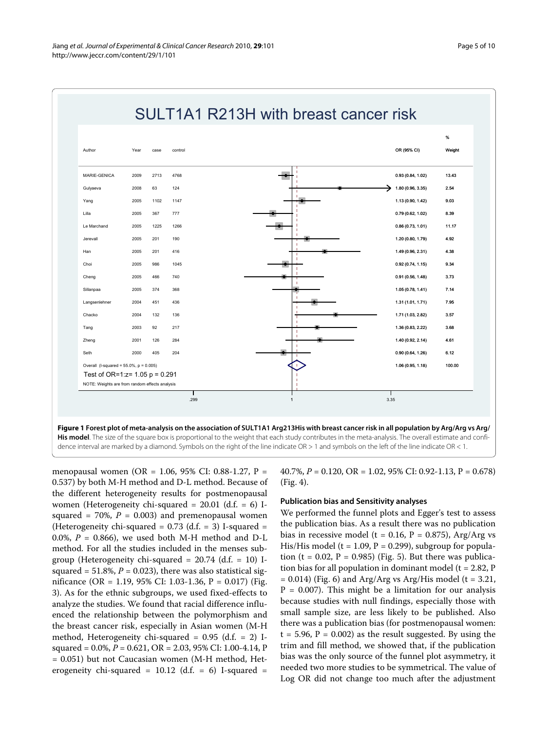<span id="page-4-0"></span>

**Figure 1 Forest plot of meta-analysis on the association of SULT1A1 Arg213His with breast cancer risk in all population by Arg/Arg vs Arg/ His model**. The size of the square box is proportional to the weight that each study contributes in the meta-analysis. The overall estimate and confidence interval are marked by a diamond. Symbols on the right of the line indicate OR > 1 and symbols on the left of the line indicate OR < 1.

menopausal women (OR = 1.06, 95% CI: 0.88-1.27, P = 0.537) by both M-H method and D-L method. Because of the different heterogeneity results for postmenopausal women (Heterogeneity chi-squared =  $20.01$  (d.f. = 6) Isquared =  $70\%$ ,  $P = 0.003$ ) and premenopausal women (Heterogeneity chi-squared =  $0.73$  (d.f. = 3) I-squared = 0.0%,  $P = 0.866$ ), we used both M-H method and D-L method. For all the studies included in the menses subgroup (Heterogeneity chi-squared =  $20.74$  (d.f. = 10) Isquared =  $51.8\%$ ,  $P = 0.023$ ), there was also statistical significance (OR = 1.19, 95% CI: 1.03-1.36, P = 0.017) (Fig. [3\)](#page-6-0). As for the ethnic subgroups, we used fixed-effects to analyze the studies. We found that racial difference influenced the relationship between the polymorphism and the breast cancer risk, especially in Asian women (M-H method, Heterogeneity chi-squared = 0.95 (d.f. = 2) Isquared = 0.0%, *P* = 0.621, OR = 2.03, 95% CI: 1.00-4.14, P = 0.051) but not Caucasian women (M-H method, Heterogeneity chi-squared =  $10.12$  (d.f. = 6) I-squared =

40.7%, *P* = 0.120, OR = 1.02, 95% CI: 0.92-1.13, P = 0.678) (Fig. [4\)](#page-7-0).

## **Publication bias and Sensitivity analyses**

We performed the funnel plots and Egger's test to assess the publication bias. As a result there was no publication bias in recessive model (t = 0.16,  $P = 0.875$ ), Arg/Arg vs His/His model ( $t = 1.09$ ,  $P = 0.299$ ), subgroup for population (t =  $0.02$ , P =  $0.985$  $0.985$ ) (Fig. 5). But there was publication bias for all population in dominant model ( $t = 2.82$ , P  $= 0.014$ ) (Fig. [6](#page-7-2)) and Arg/Arg vs Arg/His model (t  $= 3.21$ ,  $P = 0.007$ ). This might be a limitation for our analysis because studies with null findings, especially those with small sample size, are less likely to be published. Also there was a publication bias (for postmenopausal women:  $t = 5.96$ ,  $P = 0.002$ ) as the result suggested. By using the trim and fill method, we showed that, if the publication bias was the only source of the funnel plot asymmetry, it needed two more studies to be symmetrical. The value of Log OR did not change too much after the adjustment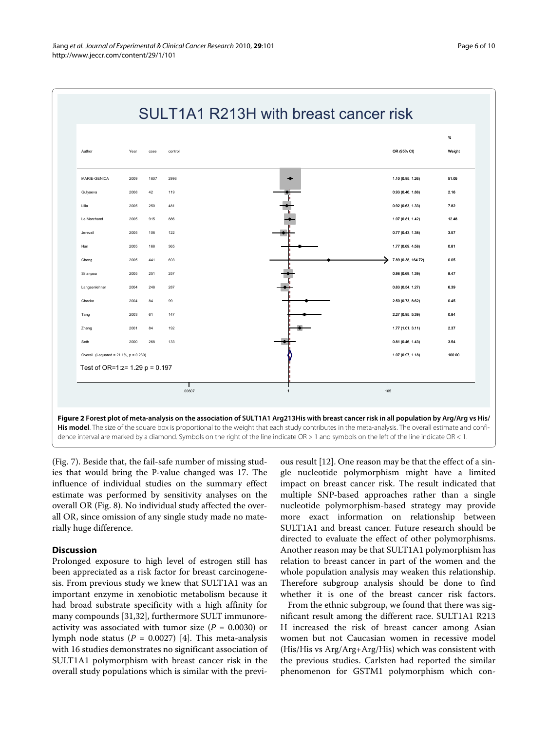<span id="page-5-0"></span>

(Fig. [7](#page-8-7)). Beside that, the fail-safe number of missing studies that would bring the P-value changed was 17. The influence of individual studies on the summary effect estimate was performed by sensitivity analyses on the overall OR (Fig. [8](#page-8-8)). No individual study affected the overall OR, since omission of any single study made no materially huge difference.

## **Discussion**

Prolonged exposure to high level of estrogen still has been appreciated as a risk factor for breast carcinogenesis. From previous study we knew that SULT1A1 was an important enzyme in xenobiotic metabolism because it had broad substrate specificity with a high affinity for many compounds [\[31](#page-9-6)[,32](#page-9-7)], furthermore SULT immunoreactivity was associated with tumor size  $(P = 0.0030)$  or lymph node status  $(P = 0.0027)$  [\[4](#page-8-3)]. This meta-analysis with 16 studies demonstrates no significant association of SULT1A1 polymorphism with breast cancer risk in the overall study populations which is similar with the previ-

ous result [[12\]](#page-9-2). One reason may be that the effect of a single nucleotide polymorphism might have a limited impact on breast cancer risk. The result indicated that multiple SNP-based approaches rather than a single nucleotide polymorphism-based strategy may provide more exact information on relationship between SULT1A1 and breast cancer. Future research should be directed to evaluate the effect of other polymorphisms. Another reason may be that SULT1A1 polymorphism has relation to breast cancer in part of the women and the whole population analysis may weaken this relationship. Therefore subgroup analysis should be done to find whether it is one of the breast cancer risk factors.

From the ethnic subgroup, we found that there was significant result among the different race. SULT1A1 R213 H increased the risk of breast cancer among Asian women but not Caucasian women in recessive model (His/His vs Arg/Arg+Arg/His) which was consistent with the previous studies. Carlsten had reported the similar phenomenon for GSTM1 polymorphism which con-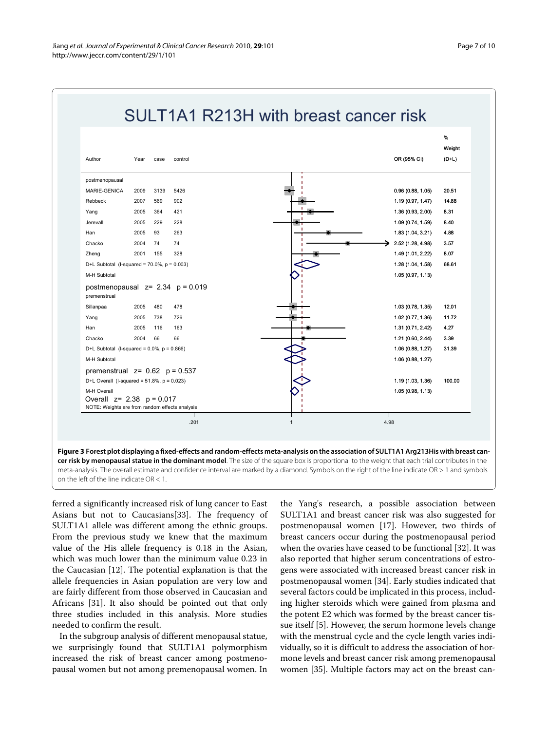<span id="page-6-0"></span>

|                                                                                                 |                   |       |                   |                      | %<br>Weight |
|-------------------------------------------------------------------------------------------------|-------------------|-------|-------------------|----------------------|-------------|
| Author                                                                                          | Year              | case  | control           | OR (95% CI)          | $(D+L)$     |
| postmenopausal                                                                                  |                   |       |                   |                      |             |
| MARIE-GENICA                                                                                    | 2009              | 3139  | 5426              | 0.96(0.88, 1.05)     | 20.51       |
| Rebbeck                                                                                         | 2007              | 569   | 902               | 1.19 (0.97, 1.47)    | 14.88       |
| Yang                                                                                            | 2005              | 364   | 421               | 1.36 (0.93, 2.00)    | 8.31        |
| Jerevall                                                                                        | 2005              | 229   | 228               | 1.09 (0.74, 1.59)    | 8.40        |
| Han                                                                                             | 2005              | 93    | 263               | 1.83 (1.04, 3.21)    | 4.88        |
| Chacko                                                                                          | 2004              | 74    | 74                | 2.52 (1.28, 4.98)    | 3.57        |
| Zheng                                                                                           | 2001              | 155   | 328               | 1.49 (1.01, 2.22)    | 8.07        |
| D+L Subtotal (I-squared = $70.0\%$ , $p = 0.003$ )<br>1.28 (1.04, 1.58)                         |                   |       |                   |                      |             |
| M-H Subtotal                                                                                    |                   |       |                   | 1.05(0.97, 1.13)     |             |
| postmenopausal $z=$ 2.34 $p=0.019$<br>premenstrual                                              |                   |       |                   |                      |             |
| Sillanpaa                                                                                       | 2005              | 480   | 478               | 1.03 (0.78, 1.35)    | 12.01       |
| Yang                                                                                            | 2005              | 738   | 726               | 1.02 (0.77, 1.36)    | 11.72       |
| Han                                                                                             | 2005              | 116   | 163               | 1.31 (0.71, 2.42)    | 4.27        |
| Chacko                                                                                          | 2004              | 66    | 66                | 1.21 (0.60, 2.44)    | 3.39        |
| D+L Subtotal (I-squared = $0.0\%$ , $p = 0.866$ )                                               | 1.06 (0.88, 1.27) | 31.39 |                   |                      |             |
| M-H Subtotal                                                                                    |                   |       |                   | 1.06 (0.88, 1.27)    |             |
| premenstrual $z= 0.62$ $p = 0.537$                                                              |                   |       |                   |                      |             |
| D+L Overall (I-squared = $51.8\%$ , $p = 0.023$ )                                               |                   |       | 1.19 (1.03, 1.36) | 100.00               |             |
| M-H Overall<br>Overall $z = 2.38$ $p = 0.017$<br>NOTE: Weights are from random effects analysis |                   |       |                   | 1.05 (0.98, 1.13)    |             |
|                                                                                                 |                   |       | .201              | 4.98<br>$\mathbf{1}$ |             |

**cer risk by menopausal statue in the dominant model**. The size of the square box is proportional to the weight that each trial contributes in the meta-analysis. The overall estimate and confidence interval are marked by a diamond. Symbols on the right of the line indicate OR > 1 and symbols on the left of the line indicate OR < 1.

ferred a significantly increased risk of lung cancer to East Asians but not to Caucasians[\[33](#page-9-8)]. The frequency of SULT1A1 allele was different among the ethnic groups. From the previous study we knew that the maximum value of the His allele frequency is 0.18 in the Asian, which was much lower than the minimum value 0.23 in the Caucasian [[12\]](#page-9-2). The potential explanation is that the allele frequencies in Asian population are very low and are fairly different from those observed in Caucasian and Africans [\[31](#page-9-6)]. It also should be pointed out that only three studies included in this analysis. More studies needed to confirm the result.

In the subgroup analysis of different menopausal statue, we surprisingly found that SULT1A1 polymorphism increased the risk of breast cancer among postmenopausal women but not among premenopausal women. In

the Yang's research, a possible association between SULT1A1 and breast cancer risk was also suggested for postmenopausal women [[17\]](#page-9-9). However, two thirds of breast cancers occur during the postmenopausal period when the ovaries have ceased to be functional [[32\]](#page-9-7). It was also reported that higher serum concentrations of estrogens were associated with increased breast cancer risk in postmenopausal women [[34\]](#page-9-10). Early studies indicated that several factors could be implicated in this process, including higher steroids which were gained from plasma and the potent E2 which was formed by the breast cancer tissue itself [\[5](#page-8-4)]. However, the serum hormone levels change with the menstrual cycle and the cycle length varies individually, so it is difficult to address the association of hormone levels and breast cancer risk among premenopausal women [\[35\]](#page-9-11). Multiple factors may act on the breast can-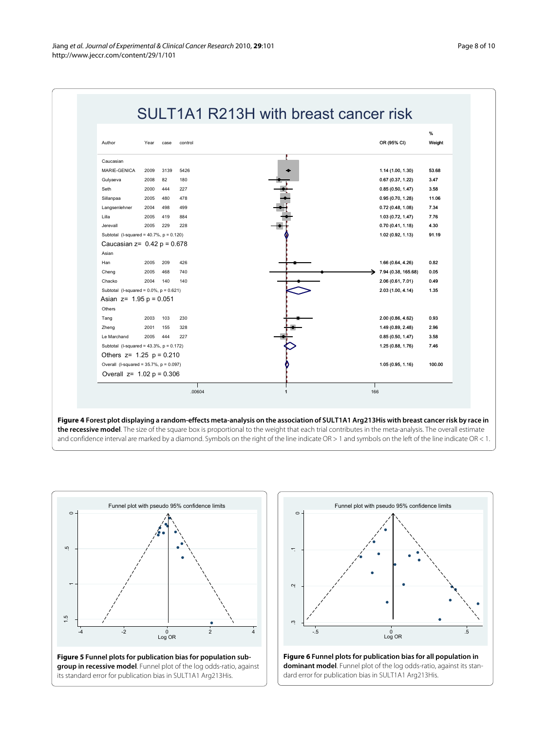<span id="page-7-0"></span>

**Figure 4 Forest plot displaying a random-effects meta-analysis on the association of SULT1A1 Arg213His with breast cancer risk by race in the recessive model**. The size of the square box is proportional to the weight that each trial contributes in the meta-analysis. The overall estimate and confidence interval are marked by a diamond. Symbols on the right of the line indicate OR > 1 and symbols on the left of the line indicate OR < 1.

<span id="page-7-1"></span>

<span id="page-7-2"></span>

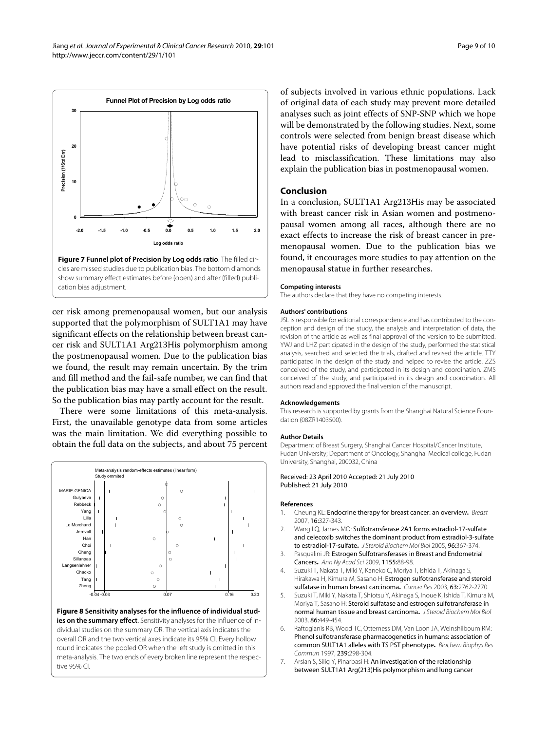<span id="page-8-7"></span>

show summary effect estimates before (open) and after (filled) publication bias adjustment.

cer risk among premenopausal women, but our analysis supported that the polymorphism of SULT1A1 may have significant effects on the relationship between breast cancer risk and SULT1A1 Arg213His polymorphism among the postmenopausal women. Due to the publication bias we found, the result may remain uncertain. By the trim and fill method and the fail-safe number, we can find that the publication bias may have a small effect on the result. So the publication bias may partly account for the result.

There were some limitations of this meta-analysis. First, the unavailable genotype data from some articles was the main limitation. We did everything possible to obtain the full data on the subjects, and about 75 percent

<span id="page-8-8"></span>

**Figure 8 Sensitivity analyses for the influence of individual studies on the summary effect**. Sensitivity analyses for the influence of individual studies on the summary OR. The vertical axis indicates the overall OR and the two vertical axes indicate its 95% CI. Every hollow round indicates the pooled OR when the left study is omitted in this meta-analysis. The two ends of every broken line represent the respective 95% CI.

of subjects involved in various ethnic populations. Lack of original data of each study may prevent more detailed analyses such as joint effects of SNP-SNP which we hope will be demonstrated by the following studies. Next, some controls were selected from benign breast disease which have potential risks of developing breast cancer might lead to misclassification. These limitations may also explain the publication bias in postmenopausal women.

## **Conclusion**

In a conclusion, SULT1A1 Arg213His may be associated with breast cancer risk in Asian women and postmenopausal women among all races, although there are no exact effects to increase the risk of breast cancer in premenopausal women. Due to the publication bias we found, it encourages more studies to pay attention on the menopausal statue in further researches.

#### **Competing interests**

The authors declare that they have no competing interests.

## **Authors' contributions**

JSL is responsible for editorial correspondence and has contributed to the conception and design of the study, the analysis and interpretation of data, the revision of the article as well as final approval of the version to be submitted. YWJ and LHZ participated in the design of the study, performed the statistical analysis, searched and selected the trials, drafted and revised the article. TTY participated in the design of the study and helped to revise the article. ZZS conceived of the study, and participated in its design and coordination. ZMS conceived of the study, and participated in its design and coordination. All authors read and approved the final version of the manuscript.

#### **Acknowledgements**

This research is supported by grants from the Shanghai Natural Science Foundation (08ZR1403500).

## **Author Details**

Department of Breast Surgery, Shanghai Cancer Hospital/Cancer Institute, Fudan University; Department of Oncology, Shanghai Medical college, Fudan University, Shanghai, 200032, China

Received: 23 April 2010 Accepted: 21 July 2010 Published: 21 July 2010

#### **References**

- <span id="page-8-0"></span>1. Cheung KL: Endocrine therapy for breast cancer: an overview**[.](http://www.ncbi.nlm.nih.gov/entrez/query.fcgi?cmd=Retrieve&db=PubMed&dopt=Abstract&list_uids=17499991)** Breast 2007, 16:327-343.
- <span id="page-8-1"></span>2. Wang LQ, James MO: Sulfotransferase 2A1 forms estradiol-17-sulfate and celecoxib switches the dominant product from estradiol-3-sulfate to estradiol-17-sulfate**.** J Steroid Biochem Mol Biol 2005, 96:367-374.
- <span id="page-8-2"></span>3. Pasqualini JR: Estrogen Sulfotransferases in Breast and Endometrial Cancers**.** Ann Ny Acad Sci 2009, 1155:88-98.
- <span id="page-8-3"></span>4. Suzuki T, Nakata T, Miki Y, Kaneko C, Moriya T, Ishida T, Akinaga S, Hirakawa H, Kimura M, Sasano H: Estrogen sulfotransferase and steroid sulfatase in human breast carcinoma**.** Cancer Res 2003, 63:2762-2770.
- <span id="page-8-4"></span>5. Suzuki T, Miki Y, Nakata T, Shiotsu Y, Akinaga S, Inoue K, Ishida T, Kimura M, Moriya T, Sasano H: Steroid sulfatase and estrogen sulfotransferase in normal human tissue and breast carcinoma**[.](http://www.ncbi.nlm.nih.gov/entrez/query.fcgi?cmd=Retrieve&db=PubMed&dopt=Abstract&list_uids=14623543)** J Steroid Biochem Mol Biol 2003, 86:449-454.
- <span id="page-8-5"></span>6. Raftogianis RB, Wood TC, Otterness DM, Van Loon JA, Weinshilboum RM: Phenol sulfotransferase pharmacogenetics in humans: association of common SULT1A1 alleles with TS PST phenotyp[e](http://www.ncbi.nlm.nih.gov/entrez/query.fcgi?cmd=Retrieve&db=PubMed&dopt=Abstract&list_uids=9345314)**.** Biochem Biophys Res Commun 1997, 239:298-304.
- <span id="page-8-6"></span>7. Arslan S, Silig Y, Pinarbasi H: An investigation of the relationship between SULT1A1 Arg(213)His polymorphism and lung cancer